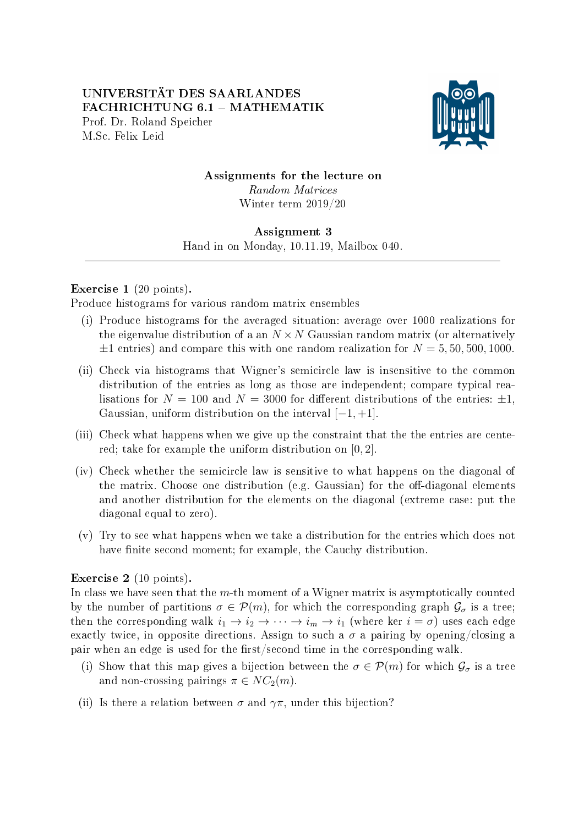

Assignments for the lecture on Random Matrices Winter term 2019/20

## Assignment 3

Hand in on Monday, 10.11.19, Mailbox 040. 

## Exercise 1 (20 points).

Produce histograms for various random matrix ensembles

- (i) Produce histograms for the averaged situation: average over 1000 realizations for the eigenvalue distribution of a an  $N \times N$  Gaussian random matrix (or alternatively  $\pm 1$  entries) and compare this with one random realization for  $N = 5, 50, 500, 1000$ .
- (ii) Check via histograms that Wigner's semicircle law is insensitive to the common distribution of the entries as long as those are independent; compare typical realisations for  $N = 100$  and  $N = 3000$  for different distributions of the entries:  $\pm 1$ , Gaussian, uniform distribution on the interval  $[-1, +1]$ .
- (iii) Check what happens when we give up the constraint that the the entries are centered; take for example the uniform distribution on [0, 2].
- (iv) Check whether the semicircle law is sensitive to what happens on the diagonal of the matrix. Choose one distribution (e.g. Gaussian) for the off-diagonal elements and another distribution for the elements on the diagonal (extreme case: put the diagonal equal to zero).
- (v) Try to see what happens when we take a distribution for the entries which does not have finite second moment; for example, the Cauchy distribution.

## Exercise 2 (10 points).

In class we have seen that the  $m$ -th moment of a Wigner matrix is asymptotically counted by the number of partitions  $\sigma \in \mathcal{P}(m)$ , for which the corresponding graph  $\mathcal{G}_{\sigma}$  is a tree; then the corresponding walk  $i_1 \to i_2 \to \cdots \to i_m \to i_1$  (where ker  $i = \sigma$ ) uses each edge exactly twice, in opposite directions. Assign to such a  $\sigma$  a pairing by opening/closing a pair when an edge is used for the first/second time in the corresponding walk.

- (i) Show that this map gives a bijection between the  $\sigma \in \mathcal{P}(m)$  for which  $\mathcal{G}_{\sigma}$  is a tree and non-crossing pairings  $\pi \in NC_2(m)$ .
- (ii) Is there a relation between  $\sigma$  and  $\gamma\pi$ , under this bijection?